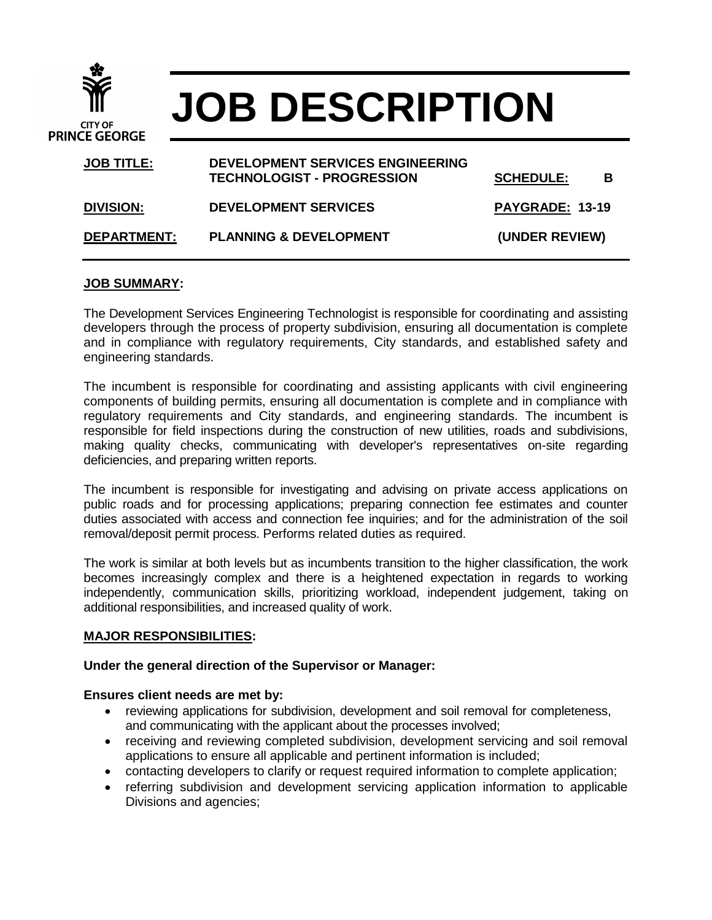| <b>CITY OF</b><br><b>PRINCE GEORGE</b><br><b>JOB TITLE:</b> | <b>JOB DESCRIPTION</b>                                                       |                  |   |  |
|-------------------------------------------------------------|------------------------------------------------------------------------------|------------------|---|--|
|                                                             | <b>DEVELOPMENT SERVICES ENGINEERING</b><br><b>TECHNOLOGIST - PROGRESSION</b> | <b>SCHEDULE:</b> | В |  |

| <b>DIVISION:</b>   | <b>DEVELOPMENT SERVICES</b>       | PAYGRADE: 13-19 |
|--------------------|-----------------------------------|-----------------|
| <b>DEPARTMENT:</b> | <b>PLANNING &amp; DEVELOPMENT</b> | (UNDER REVIEW)  |

### **JOB SUMMARY:**

The Development Services Engineering Technologist is responsible for coordinating and assisting developers through the process of property subdivision, ensuring all documentation is complete and in compliance with regulatory requirements, City standards, and established safety and engineering standards.

The incumbent is responsible for coordinating and assisting applicants with civil engineering components of building permits, ensuring all documentation is complete and in compliance with regulatory requirements and City standards, and engineering standards. The incumbent is responsible for field inspections during the construction of new utilities, roads and subdivisions, making quality checks, communicating with developer's representatives on-site regarding deficiencies, and preparing written reports.

The incumbent is responsible for investigating and advising on private access applications on public roads and for processing applications; preparing connection fee estimates and counter duties associated with access and connection fee inquiries; and for the administration of the soil removal/deposit permit process. Performs related duties as required.

The work is similar at both levels but as incumbents transition to the higher classification, the work becomes increasingly complex and there is a heightened expectation in regards to working independently, communication skills, prioritizing workload, independent judgement, taking on additional responsibilities, and increased quality of work.

#### **MAJOR RESPONSIBILITIES:**

### **Under the general direction of the Supervisor or Manager:**

### **Ensures client needs are met by:**

- reviewing applications for subdivision, development and soil removal for completeness, and communicating with the applicant about the processes involved;
- receiving and reviewing completed subdivision, development servicing and soil removal applications to ensure all applicable and pertinent information is included;
- contacting developers to clarify or request required information to complete application;
- referring subdivision and development servicing application information to applicable Divisions and agencies;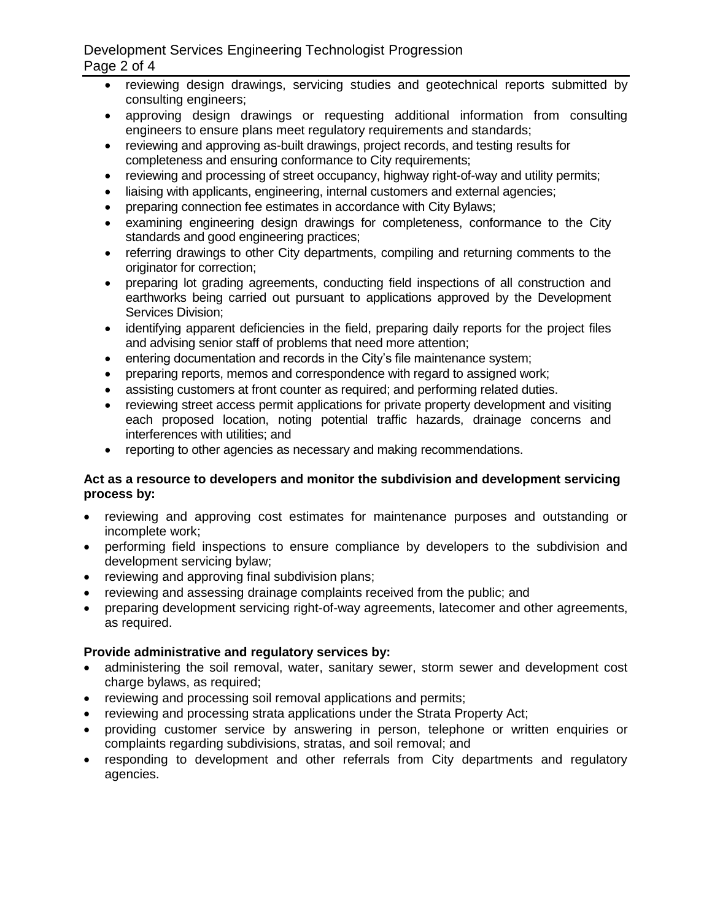# Development Services Engineering Technologist Progression Page 2 of 4

- reviewing design drawings, servicing studies and geotechnical reports submitted by consulting engineers;
- approving design drawings or requesting additional information from consulting engineers to ensure plans meet regulatory requirements and standards;
- reviewing and approving as-built drawings, project records, and testing results for completeness and ensuring conformance to City requirements;
- reviewing and processing of street occupancy, highway right-of-way and utility permits;
- liaising with applicants, engineering, internal customers and external agencies;
- preparing connection fee estimates in accordance with City Bylaws;
- examining engineering design drawings for completeness, conformance to the City standards and good engineering practices;
- referring drawings to other City departments, compiling and returning comments to the originator for correction;
- preparing lot grading agreements, conducting field inspections of all construction and earthworks being carried out pursuant to applications approved by the Development Services Division;
- identifying apparent deficiencies in the field, preparing daily reports for the project files and advising senior staff of problems that need more attention;
- entering documentation and records in the City's file maintenance system;
- preparing reports, memos and correspondence with regard to assigned work;
- assisting customers at front counter as required; and performing related duties.
- reviewing street access permit applications for private property development and visiting each proposed location, noting potential traffic hazards, drainage concerns and interferences with utilities; and
- reporting to other agencies as necessary and making recommendations.

## **Act as a resource to developers and monitor the subdivision and development servicing process by:**

- reviewing and approving cost estimates for maintenance purposes and outstanding or incomplete work;
- performing field inspections to ensure compliance by developers to the subdivision and development servicing bylaw;
- reviewing and approving final subdivision plans;
- reviewing and assessing drainage complaints received from the public; and
- preparing development servicing right-of-way agreements, latecomer and other agreements, as required.

# **Provide administrative and regulatory services by:**

- administering the soil removal, water, sanitary sewer, storm sewer and development cost charge bylaws, as required;
- reviewing and processing soil removal applications and permits;
- reviewing and processing strata applications under the Strata Property Act;
- providing customer service by answering in person, telephone or written enquiries or complaints regarding subdivisions, stratas, and soil removal; and
- responding to development and other referrals from City departments and regulatory agencies.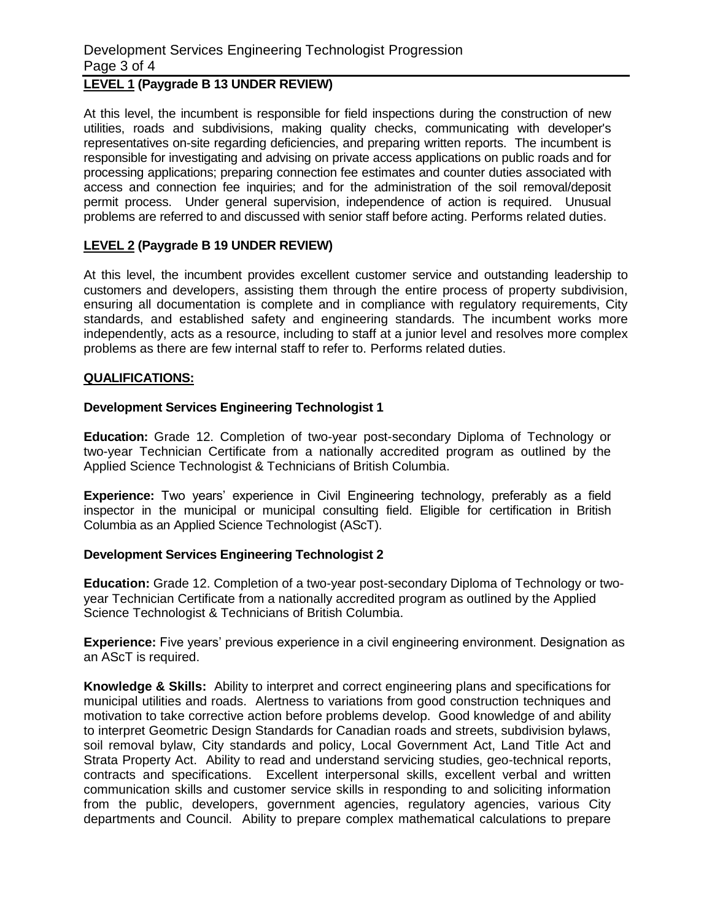# Development Services Engineering Technologist Progression Page 3 of 4

# **LEVEL 1 (Paygrade B 13 UNDER REVIEW)**

At this level, the incumbent is responsible for field inspections during the construction of new utilities, roads and subdivisions, making quality checks, communicating with developer's representatives on-site regarding deficiencies, and preparing written reports. The incumbent is responsible for investigating and advising on private access applications on public roads and for processing applications; preparing connection fee estimates and counter duties associated with access and connection fee inquiries; and for the administration of the soil removal/deposit permit process. Under general supervision, independence of action is required. Unusual problems are referred to and discussed with senior staff before acting. Performs related duties.

## **LEVEL 2 (Paygrade B 19 UNDER REVIEW)**

At this level, the incumbent provides excellent customer service and outstanding leadership to customers and developers, assisting them through the entire process of property subdivision, ensuring all documentation is complete and in compliance with regulatory requirements, City standards, and established safety and engineering standards. The incumbent works more independently, acts as a resource, including to staff at a junior level and resolves more complex problems as there are few internal staff to refer to. Performs related duties.

### **QUALIFICATIONS:**

### **Development Services Engineering Technologist 1**

**Education:** Grade 12. Completion of two-year post-secondary Diploma of Technology or two-year Technician Certificate from a nationally accredited program as outlined by the Applied Science Technologist & Technicians of British Columbia.

**Experience:** Two years' experience in Civil Engineering technology, preferably as a field inspector in the municipal or municipal consulting field. Eligible for certification in British Columbia as an Applied Science Technologist (AScT).

## **Development Services Engineering Technologist 2**

**Education:** Grade 12. Completion of a two-year post-secondary Diploma of Technology or twoyear Technician Certificate from a nationally accredited program as outlined by the Applied Science Technologist & Technicians of British Columbia.

**Experience:** Five years' previous experience in a civil engineering environment. Designation as an AScT is required.

**Knowledge & Skills:** Ability to interpret and correct engineering plans and specifications for municipal utilities and roads. Alertness to variations from good construction techniques and motivation to take corrective action before problems develop. Good knowledge of and ability to interpret Geometric Design Standards for Canadian roads and streets, subdivision bylaws, soil removal bylaw, City standards and policy, Local Government Act, Land Title Act and Strata Property Act. Ability to read and understand servicing studies, geo-technical reports, contracts and specifications. Excellent interpersonal skills, excellent verbal and written communication skills and customer service skills in responding to and soliciting information from the public, developers, government agencies, regulatory agencies, various City departments and Council. Ability to prepare complex mathematical calculations to prepare